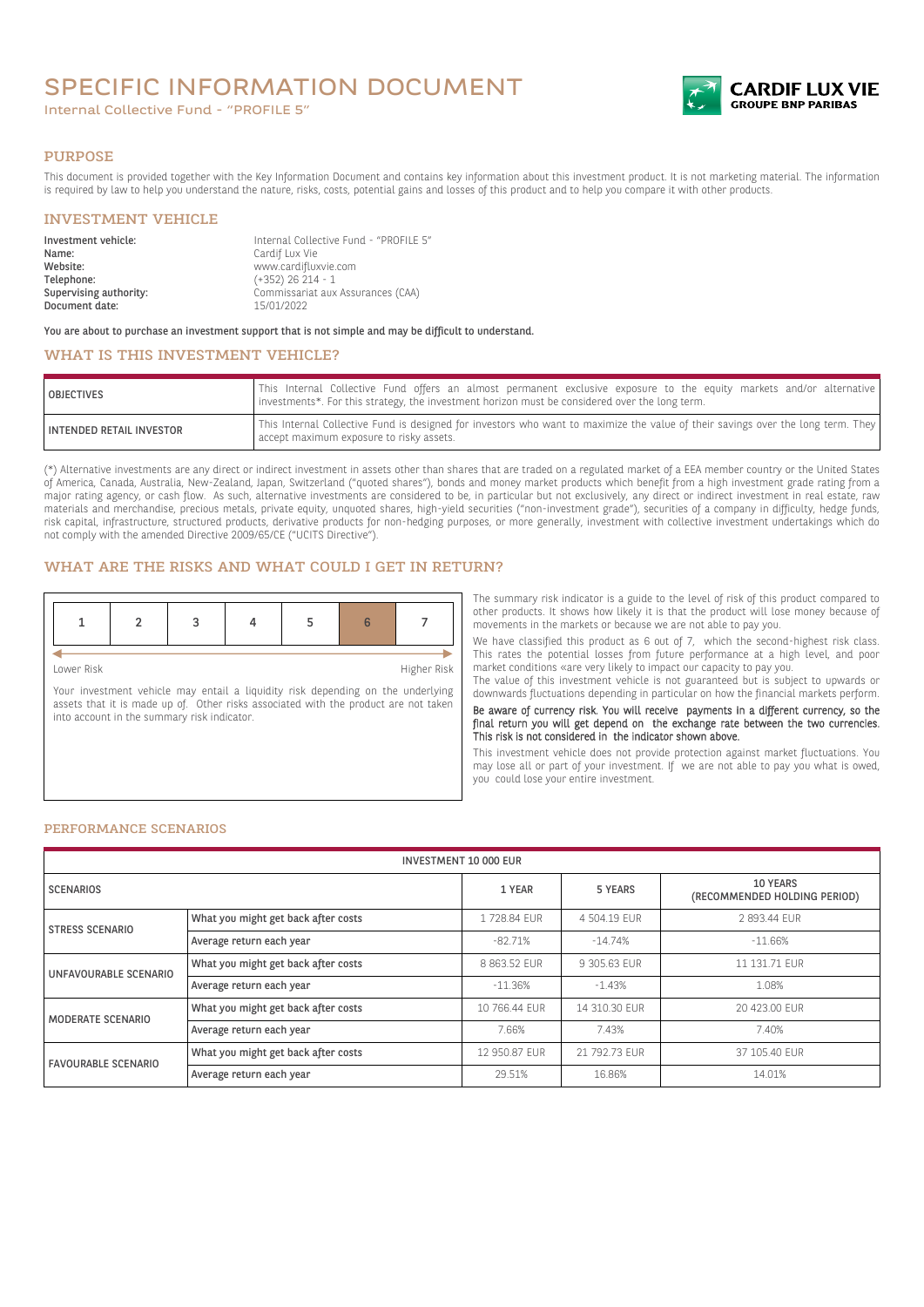# SPECIFIC INFORMATION DOCUMENT

Internal Collective Fund - "PROFILE 5"



#### PURPOSE

This document is provided together with the Key Information Document and contains key information about this investment product. It is not marketing material. The information is required by law to help you understand the nature, risks, costs, potential gains and losses of this product and to help you compare it with other products.

### INVESTMENT VEHICLE

| Investment vehicle:    | Internal Collective Fund - "PROFILE 5" |
|------------------------|----------------------------------------|
| Name:                  | Cardif Lux Vie                         |
| Website:               | www.cardifluxvie.com                   |
| Telephone:             | $(+352)$ 26 214 - 1                    |
| Supervising authority: | Commissariat aux Assurances (CAA)      |
| Document date:         | 15/01/2022                             |

You are about to purchase an investment support that is not simple and may be difficult to understand.

# WHAT IS THIS INVESTMENT VEHICLE?

| <b>OBJECTIVES</b>               | This Internal Collective Fund offers an almost permanent exclusive exposure to the equity markets and/or alternative<br>linvestments*. For this strategy, the investment horizon must be considered over the long term. |
|---------------------------------|-------------------------------------------------------------------------------------------------------------------------------------------------------------------------------------------------------------------------|
| <b>INTENDED RETAIL INVESTOR</b> | This Internal Collective Fund is designed for investors who want to maximize the value of their savings over the long term. They<br>accept maximum exposure to risky assets.                                            |

(\*) Alternative investments are any direct or indirect investment in assets other than shares that are traded on a regulated market of a EEA member country or the United States of America, Canada, Australia, New-Zealand, Japan, Switzerland ("quoted shares"), bonds and money market products which benefit from a high investment grade rating from a major rating agency, or cash flow. As such, alternative investments are considered to be, in particular but not exclusively, any direct or indirect investment in real estate, raw materials and merchandise, precious metals, private equity, unquoted shares, high-yield securities ("non-investment grade"), securities of a company in difficulty, hedge funds, risk capital, infrastructure, structured products, derivative products for non-hedging purposes, or more generally, investment with collective investment undertakings which do not comply with the amended Directive 2009/65/CE ("UCITS Directive").

## WHAT ARE THE RISKS AND WHAT COULD I GET IN RETURN?

Lower Risk Higher Risk

Your investment vehicle may entail a liquidity risk depending on the underlying assets that it is made up of. Other risks associated with the product are not taken into account in the summary risk indicator.

The summary risk indicator is a guide to the level of risk of this product compared to other products. It shows how likely it is that the product will lose money because of movements in the markets or because we are not able to pay you.

We have classified this product as 6 out of 7, which the second-highest risk class. This rates the potential losses from future performance at a high level, and poor market conditions «are very likely to impact our capacity to pay you.

The value of this investment vehicle is not guaranteed but is subject to upwards or downwards fluctuations depending in particular on how the financial markets perform.

Be aware of currency risk. You will receive payments in a different currency, so the final return you will get depend on the exchange rate between the two currencies. This risk is not considered in the indicator shown above.

This investment vehicle does not provide protection against market fluctuations. You may lose all or part of your investment. If we are not able to pay you what is owed, you could lose your entire investment.

#### PERFORMANCE SCENARIOS

| <b>INVESTMENT 10 000 EUR</b> |                                     |               |               |                                          |
|------------------------------|-------------------------------------|---------------|---------------|------------------------------------------|
| <b>SCENARIOS</b>             |                                     | 1 YEAR        | 5 YEARS       | 10 YEARS<br>(RECOMMENDED HOLDING PERIOD) |
| <b>STRESS SCENARIO</b>       | What you might get back after costs | 1728.84 EUR   | 4 504.19 EUR  | 2 893.44 EUR                             |
|                              | Average return each year            | $-82.71%$     | $-14.74%$     | $-11.66%$                                |
| UNFAVOURABLE SCENARIO        | What you might get back after costs | 8 863.52 EUR  | 9 305.63 EUR  | 11 131.71 EUR                            |
|                              | Average return each year            | $-11.36\%$    | $-1.43%$      | 1.08%                                    |
| MODERATE SCENARIO            | What you might get back after costs | 10 766.44 FUR | 14 310.30 FUR | 20 423,00 EUR                            |
|                              | Average return each year            | 7.66%         | 7.43%         | 7.40%                                    |
| <b>FAVOURABLE SCENARIO</b>   | What you might get back after costs | 12 950.87 EUR | 21 792.73 EUR | 37 105.40 EUR                            |
|                              | Average return each year            | 29.51%        | 16.86%        | 14.01%                                   |